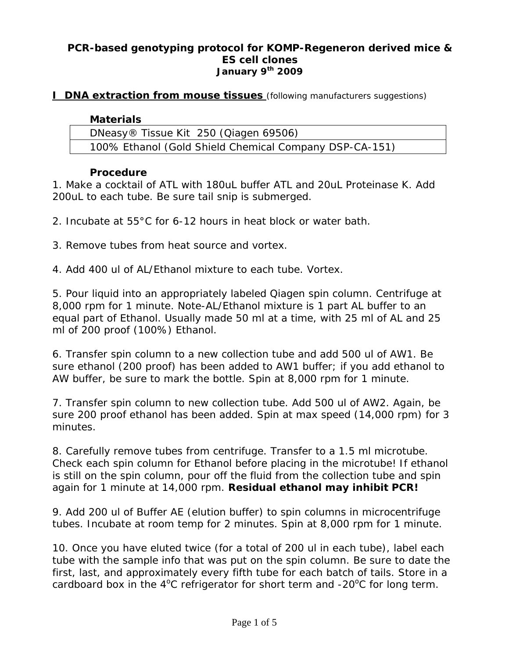### **PCR-based genotyping protocol for KOMP-Regeneron derived mice & ES cell clones**  *January 9th 2009*

### **I DNA extraction from mouse tissues** (following manufacturers suggestions)

#### **Materials**

| DNeasy® Tissue Kit 250 (Qiagen 69506) |                                                        |
|---------------------------------------|--------------------------------------------------------|
|                                       | 100% Ethanol (Gold Shield Chemical Company DSP-CA-151) |

#### **Procedure**

1. Make a cocktail of ATL with 180uL buffer ATL and 20uL Proteinase K. Add 200uL to each tube. Be sure tail snip is submerged.

- 2. Incubate at 55°C for 6-12 hours in heat block or water bath.
- 3. Remove tubes from heat source and vortex.
- 4. Add 400 ul of AL/Ethanol mixture to each tube. Vortex.

5. Pour liquid into an appropriately labeled Qiagen spin column. Centrifuge at 8,000 rpm for 1 minute. Note-AL/Ethanol mixture is 1 part AL buffer to an equal part of Ethanol. Usually made 50 ml at a time, with 25 ml of AL and 25 ml of 200 proof (100%) Ethanol.

6. Transfer spin column to a new collection tube and add 500 ul of AW1. Be sure ethanol (200 proof) has been added to AW1 buffer; if you add ethanol to AW buffer, be sure to mark the bottle. Spin at 8,000 rpm for 1 minute.

7. Transfer spin column to new collection tube. Add 500 ul of AW2. Again, be sure 200 proof ethanol has been added. Spin at max speed (14,000 rpm) for 3 minutes.

8. *Carefully* remove tubes from centrifuge. Transfer to a 1.5 ml microtube. Check each spin column for Ethanol before placing in the microtube! If ethanol is still on the spin column, pour off the fluid from the collection tube and spin again for 1 minute at 14,000 rpm. *Residual ethanol may inhibit PCR!*

9. Add 200 ul of Buffer AE (elution buffer) to spin columns in microcentrifuge tubes. Incubate at room temp for 2 minutes. Spin at 8,000 rpm for 1 minute.

10. Once you have eluted twice (for a total of 200 ul in each tube), label each tube with the sample info that was put on the spin column. Be sure to date the first, last, and approximately every fifth tube for each batch of tails. Store in a cardboard box in the  $4^{\circ}$ C refrigerator for short term and -20 $^{\circ}$ C for long term.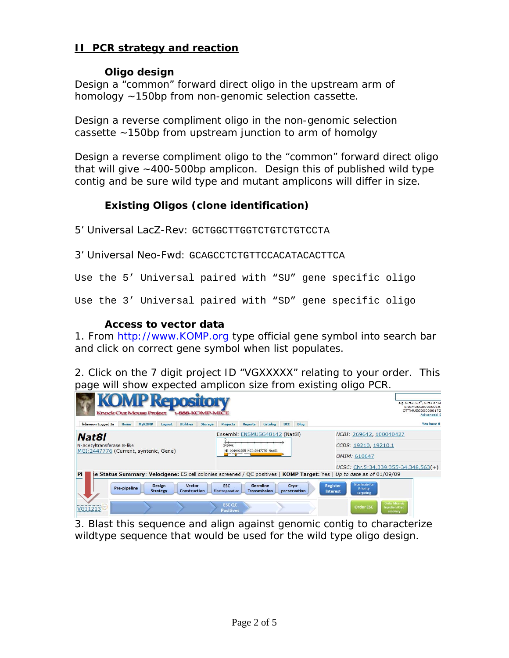# **II PCR strategy and reaction**

### **Oligo design**

Design a "common" forward direct oligo in the upstream arm of homology ~150bp from non-genomic selection cassette.

Design a reverse compliment oligo in the non-genomic selection cassette ~150bp from upstream junction to arm of homolgy

Design a reverse compliment oligo to the "common" forward direct oligo that will give ~400-500bp amplicon. Design this of published wild type contig and be sure wild type and mutant amplicons will differ in size.

# **Existing Oligos (clone identification)**

5' Universal LacZ-Rev: GCTGGCTTGGTCTGTCTGTCCTA

3' Universal Neo-Fwd: GCAGCCTCTGTTCCACATACACTTCA

Use the 5' Universal paired with "SU" gene specific oligo

Use the 3' Universal paired with "SD" gene specific oligo

### **Access to vector data**

1. From http://www.KOMP.org type official gene symbol into search bar and click on correct gene symbol when list populates.

2. Click on the 7 digit project ID "VGXXXXX" relating to your order. This page will show expected amplicon size from existing oligo PCR.

| kdawson Logged In                                                                    | <b>Knock Out Mouse Project</b><br><b>MyKOMP</b><br>Home | <b>KOMP Repository</b><br>1-888-KOMP-MICE<br><b>Utilities</b><br>Logout<br>Storage                                                                             | <b>Reports</b><br>Projects                                                | <b>DCC</b><br>Catalog           | Blog         |                 |                                                                 |                                                            | e.g. Sirt2, Sir*, Sirt1 or Si<br>ENSMUSG00000015<br>OTTMUSG000000172<br><b>Advanced S</b><br>You have 6 |
|--------------------------------------------------------------------------------------|---------------------------------------------------------|----------------------------------------------------------------------------------------------------------------------------------------------------------------|---------------------------------------------------------------------------|---------------------------------|--------------|-----------------|-----------------------------------------------------------------|------------------------------------------------------------|---------------------------------------------------------------------------------------------------------|
| <b>Nat8l</b><br>N-acetyltransferase 8-like<br>MGI: 2447776 (Current, syntenic, Gene) |                                                         |                                                                                                                                                                | Ensembl: ENSMUSG48142 (Nat8l)<br>34340k<br>NM_001001985_MGI:2447776_Nat81 |                                 |              |                 | NCBI: 269642, 100040427<br>CCDS: 19210, 19210.1<br>OMIM: 610647 |                                                            |                                                                                                         |
| <b>Pi</b>                                                                            | <b>Design</b><br>Pre-pipeline                           | ie Status Summary: Velocigene: ES cell colonies screened / QC positives   KOMP Target: Yes   Up to date as of 01/09/09<br><b>Vector</b><br><b>Construction</b> | <b>ESC</b>                                                                | Germline<br><b>Transmission</b> | Cryo-        | <b>Register</b> | <b>Nominate for</b><br><b>Priority</b>                          | $UCSC: Chr.5:34,339,355-34,348,563(+)$                     |                                                                                                         |
| VG11213                                                                              | <b>Strategy</b>                                         |                                                                                                                                                                | Electroporation<br><b>ESC QC</b><br><b>Positives</b>                      |                                 | preservation | Interest        | <b>Targeting</b><br><b>Order ESC</b>                            | <b>Order Mice via</b><br><b>Injection/Cryo</b><br>recovery |                                                                                                         |

3. Blast this sequence and align against genomic contig to characterize wildtype sequence that would be used for the wild type oligo design.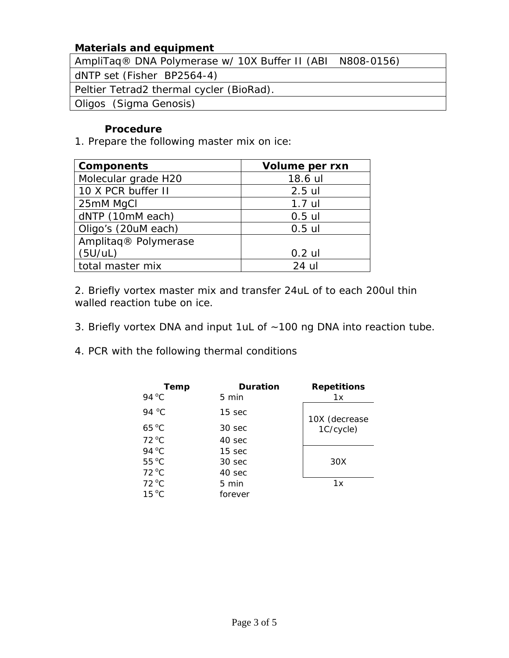# **Materials and equipment**

AmpliTaq® DNA Polymerase w/ 10X Buffer II (ABI N808-0156)

dNTP set (Fisher BP2564-4)

Peltier Tetrad2 thermal cycler (BioRad).

Oligos (Sigma Genosis)

# **Procedure**

1. Prepare the following master mix on ice:

| <b>Components</b>                | Volume per rxn |  |  |
|----------------------------------|----------------|--|--|
| Molecular grade H20              | 18.6 ul        |  |  |
| 10 X PCR buffer II               | $2.5$ ul       |  |  |
| 25mM MgCl                        | $1.7$ ul       |  |  |
| dNTP (10mM each)                 | $0.5$ ul       |  |  |
| Oligo's (20uM each)              | $0.5$ ul       |  |  |
| Amplitaq <sup>®</sup> Polymerase |                |  |  |
| (5U/UL)                          | $0.2$ ul       |  |  |
| total master mix                 | 24 ul          |  |  |

2. Briefly vortex master mix and transfer 24uL of to each 200ul thin walled reaction tube on ice.

- 3. Briefly vortex DNA and input 1uL of ~100 ng DNA into reaction tube.
- 4. PCR with the following thermal conditions

| Temp           | <b>Duration</b>   | <b>Repetitions</b> |
|----------------|-------------------|--------------------|
| 94 °C          | 5 min             | 1x                 |
| 94 °C          | $15 \text{ sec}$  | 10X (decrease      |
| $65^{\circ}$ C | 30 <sub>sec</sub> | 1C/cycle)          |
| $72^{\circ}$ C | 40 sec            |                    |
| 94 °C          | 15 <sub>sec</sub> |                    |
| $55^{\circ}$ C | 30 sec            | 30X                |
| $72^{\circ}$ C | 40 sec            |                    |
| 72 °C          | 5 min             | 1x                 |
| $15^{\circ}$ C | forever           |                    |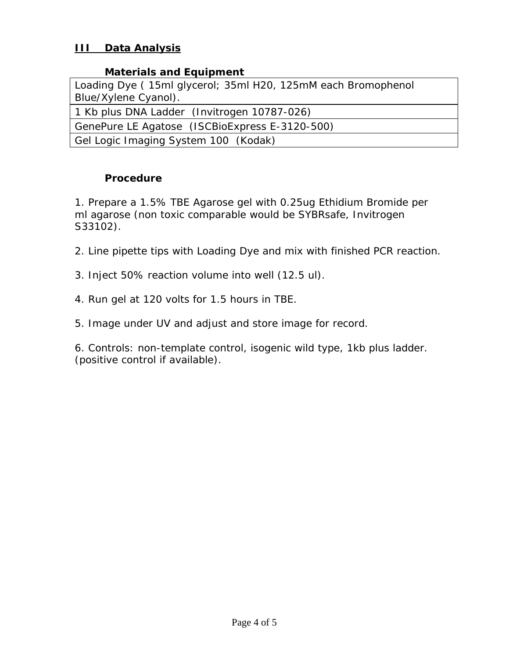# **III Data Analysis**

### **Materials and Equipment**

| Loading Dye (15ml glycerol; 35ml H20, 125mM each Bromophenol |
|--------------------------------------------------------------|
| Blue/Xylene Cyanol).                                         |
| 1 Kb plus DNA Ladder (Invitrogen 10787-026)                  |
| GenePure LE Agatose (ISCBioExpress E-3120-500)               |
| Gel Logic Imaging System 100 (Kodak)                         |

# **Procedure**

1. Prepare a 1.5% TBE Agarose gel with 0.25ug Ethidium Bromide per ml agarose (non toxic comparable would be SYBRsafe, Invitrogen S33102).

- 2. Line pipette tips with Loading Dye and mix with finished PCR reaction.
- 3. Inject 50% reaction volume into well (12.5 ul).
- 4. Run gel at 120 volts for 1.5 hours in TBE.
- 5. Image under UV and adjust and store image for record.

6. Controls: non-template control, isogenic wild type, 1kb plus ladder. (positive control if available).